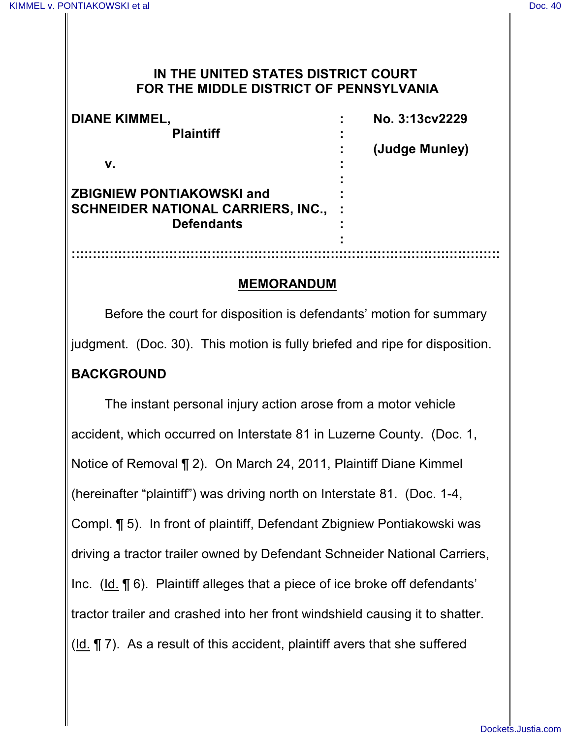#### **IN THE UNITED STATES DISTRICT COURT FOR THE MIDDLE DISTRICT OF PENNSYLVANIA**

| <b>DIANE KIMMEL,</b><br><b>Plaintiff</b><br>v.                                                     | No. 3:13cv2229<br>(Judge Munley) |
|----------------------------------------------------------------------------------------------------|----------------------------------|
| <b>ZBIGNIEW PONTIAKOWSKI and</b><br><b>SCHNEIDER NATIONAL CARRIERS, INC.,</b><br><b>Defendants</b> |                                  |
|                                                                                                    |                                  |

#### **MEMORANDUM**

Before the court for disposition is defendants' motion for summary judgment. (Doc. 30). This motion is fully briefed and ripe for disposition. **BACKGROUND**

The instant personal injury action arose from a motor vehicle accident, which occurred on Interstate 81 in Luzerne County. (Doc. 1, Notice of Removal ¶ 2). On March 24, 2011, Plaintiff Diane Kimmel (hereinafter "plaintiff") was driving north on Interstate 81. (Doc. 1-4, Compl. ¶ 5). In front of plaintiff, Defendant Zbigniew Pontiakowski was driving a tractor trailer owned by Defendant Schneider National Carriers, Inc. (Id. ¶ 6). Plaintiff alleges that a piece of ice broke off defendants' tractor trailer and crashed into her front windshield causing it to shatter. (Id. ¶ 7). As a result of this accident, plaintiff avers that she suffered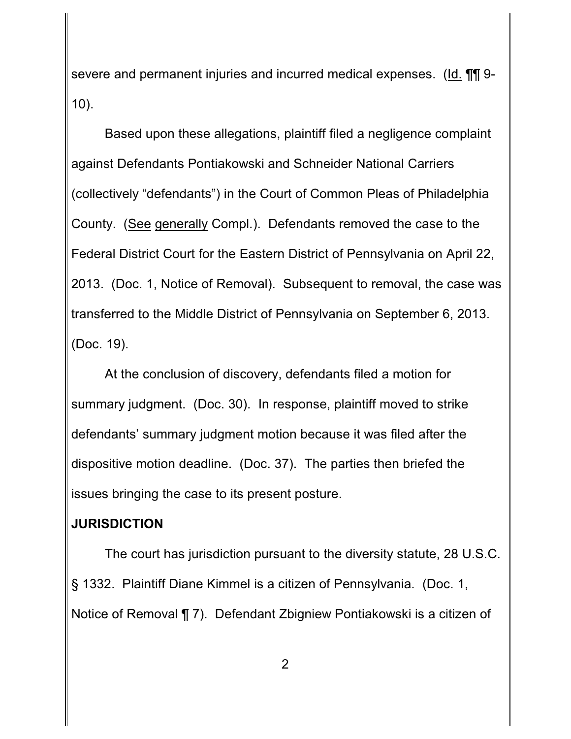severe and permanent injuries and incurred medical expenses. (Id. **[1]** 9-10).

Based upon these allegations, plaintiff filed a negligence complaint against Defendants Pontiakowski and Schneider National Carriers (collectively "defendants") in the Court of Common Pleas of Philadelphia County. (See generally Compl.). Defendants removed the case to the Federal District Court for the Eastern District of Pennsylvania on April 22, 2013. (Doc. 1, Notice of Removal). Subsequent to removal, the case was transferred to the Middle District of Pennsylvania on September 6, 2013. (Doc. 19).

At the conclusion of discovery, defendants filed a motion for summary judgment. (Doc. 30). In response, plaintiff moved to strike defendants' summary judgment motion because it was filed after the dispositive motion deadline. (Doc. 37). The parties then briefed the issues bringing the case to its present posture.

## **JURISDICTION**

The court has jurisdiction pursuant to the diversity statute, 28 U.S.C. § 1332. Plaintiff Diane Kimmel is a citizen of Pennsylvania. (Doc. 1, Notice of Removal ¶ 7). Defendant Zbigniew Pontiakowski is a citizen of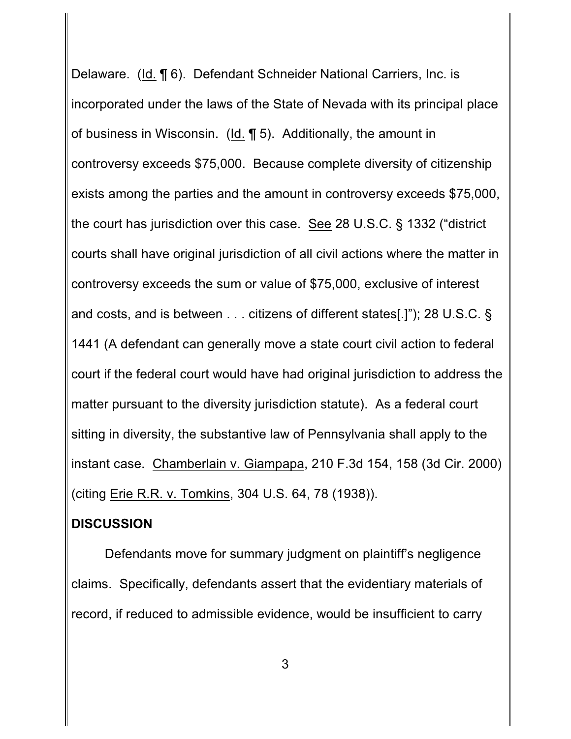Delaware. (Id. ¶ 6). Defendant Schneider National Carriers, Inc. is incorporated under the laws of the State of Nevada with its principal place of business in Wisconsin. (Id. ¶ 5). Additionally, the amount in controversy exceeds \$75,000. Because complete diversity of citizenship exists among the parties and the amount in controversy exceeds \$75,000, the court has jurisdiction over this case. See 28 U.S.C. § 1332 ("district courts shall have original jurisdiction of all civil actions where the matter in controversy exceeds the sum or value of \$75,000, exclusive of interest and costs, and is between . . . citizens of different states[.]"); 28 U.S.C. § 1441 (A defendant can generally move a state court civil action to federal court if the federal court would have had original jurisdiction to address the matter pursuant to the diversity jurisdiction statute). As a federal court sitting in diversity, the substantive law of Pennsylvania shall apply to the instant case. Chamberlain v. Giampapa, 210 F.3d 154, 158 (3d Cir. 2000) (citing Erie R.R. v. Tomkins, 304 U.S. 64, 78 (1938)).

## **DISCUSSION**

Defendants move for summary judgment on plaintiff's negligence claims. Specifically, defendants assert that the evidentiary materials of record, if reduced to admissible evidence, would be insufficient to carry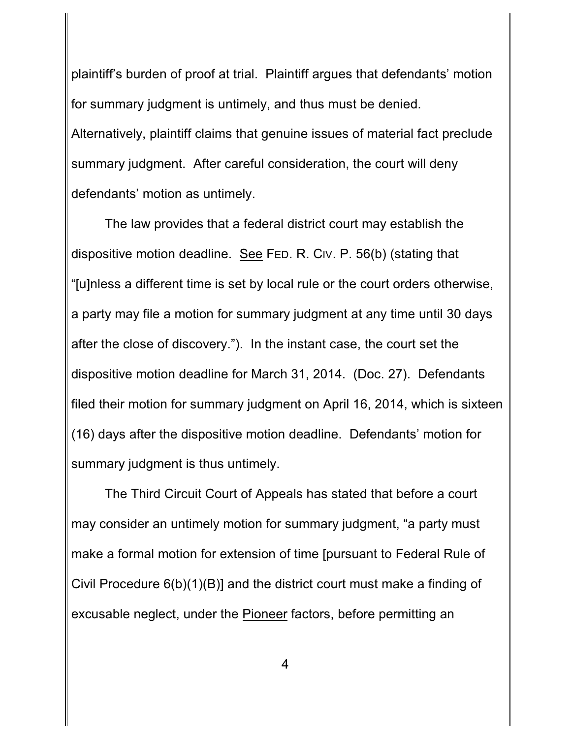plaintiff's burden of proof at trial. Plaintiff argues that defendants' motion for summary judgment is untimely, and thus must be denied. Alternatively, plaintiff claims that genuine issues of material fact preclude summary judgment. After careful consideration, the court will deny defendants' motion as untimely.

The law provides that a federal district court may establish the dispositive motion deadline. See FED. R. CIV. P. 56(b) (stating that "[u]nless a different time is set by local rule or the court orders otherwise, a party may file a motion for summary judgment at any time until 30 days after the close of discovery."). In the instant case, the court set the dispositive motion deadline for March 31, 2014. (Doc. 27). Defendants filed their motion for summary judgment on April 16, 2014, which is sixteen (16) days after the dispositive motion deadline. Defendants' motion for summary judgment is thus untimely.

The Third Circuit Court of Appeals has stated that before a court may consider an untimely motion for summary judgment, "a party must make a formal motion for extension of time [pursuant to Federal Rule of Civil Procedure 6(b)(1)(B)] and the district court must make a finding of excusable neglect, under the Pioneer factors, before permitting an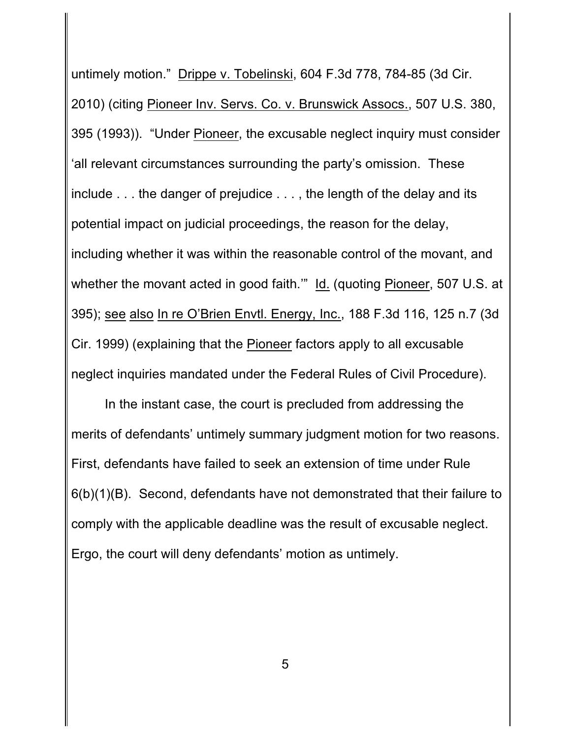untimely motion." Drippe v. Tobelinski, 604 F.3d 778, 784-85 (3d Cir. 2010) (citing Pioneer Inv. Servs. Co. v. Brunswick Assocs., 507 U.S. 380, 395 (1993)). "Under Pioneer, the excusable neglect inquiry must consider 'all relevant circumstances surrounding the party's omission. These include . . . the danger of prejudice . . . , the length of the delay and its potential impact on judicial proceedings, the reason for the delay, including whether it was within the reasonable control of the movant, and whether the movant acted in good faith." Id. (quoting Pioneer, 507 U.S. at 395); see also In re O'Brien Envtl. Energy, Inc., 188 F.3d 116, 125 n.7 (3d Cir. 1999) (explaining that the Pioneer factors apply to all excusable neglect inquiries mandated under the Federal Rules of Civil Procedure).

In the instant case, the court is precluded from addressing the merits of defendants' untimely summary judgment motion for two reasons. First, defendants have failed to seek an extension of time under Rule 6(b)(1)(B). Second, defendants have not demonstrated that their failure to comply with the applicable deadline was the result of excusable neglect. Ergo, the court will deny defendants' motion as untimely.